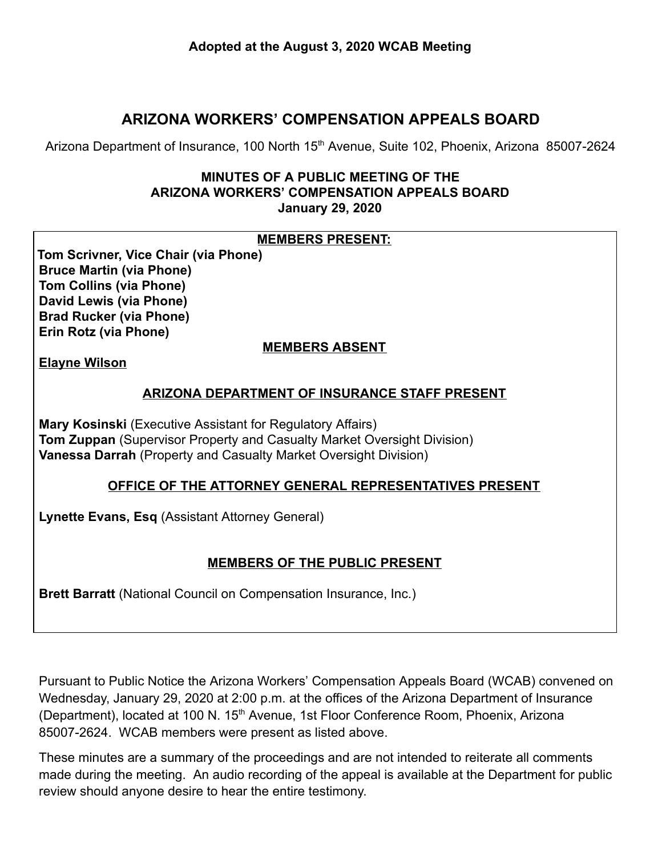# **ARIZONA WORKERS' COMPENSATION APPEALS BOARD**

Arizona Department of Insurance, 100 North 15<sup>th</sup> Avenue, Suite 102, Phoenix, Arizona 85007-2624

#### **MINUTES OF A PUBLIC MEETING OF THE ARIZONA WORKERS' COMPENSATION APPEALS BOARD January 29, 2020**

#### **MEMBERS PRESENT:**

**Tom Scrivner, Vice Chair (via Phone) Bruce Martin (via Phone) Tom Collins (via Phone) David Lewis (via Phone) Brad Rucker (via Phone) Erin Rotz (via Phone)** 

#### **MEMBERS ABSENT**

**Elayne Wilson** 

#### **ARIZONA DEPARTMENT OF INSURANCE STAFF PRESENT**

**Mary Kosinski** (Executive Assistant for Regulatory Affairs) **Tom Zuppan** (Supervisor Property and Casualty Market Oversight Division) **Vanessa Darrah** (Property and Casualty Market Oversight Division)

#### **OFFICE OF THE ATTORNEY GENERAL REPRESENTATIVES PRESENT**

**Lynette Evans, Esq** (Assistant Attorney General)

#### **MEMBERS OF THE PUBLIC PRESENT**

**Brett Barratt** (National Council on Compensation Insurance, Inc.)

Pursuant to Public Notice the Arizona Workers' Compensation Appeals Board (WCAB) convened on Wednesday, January 29, 2020 at 2:00 p.m. at the offices of the Arizona Department of Insurance (Department), located at 100 N. 15<sup>th</sup> Avenue, 1st Floor Conference Room, Phoenix, Arizona 85007-2624. WCAB members were present as listed above.

These minutes are a summary of the proceedings and are not intended to reiterate all comments made during the meeting. An audio recording of the appeal is available at the Department for public review should anyone desire to hear the entire testimony.